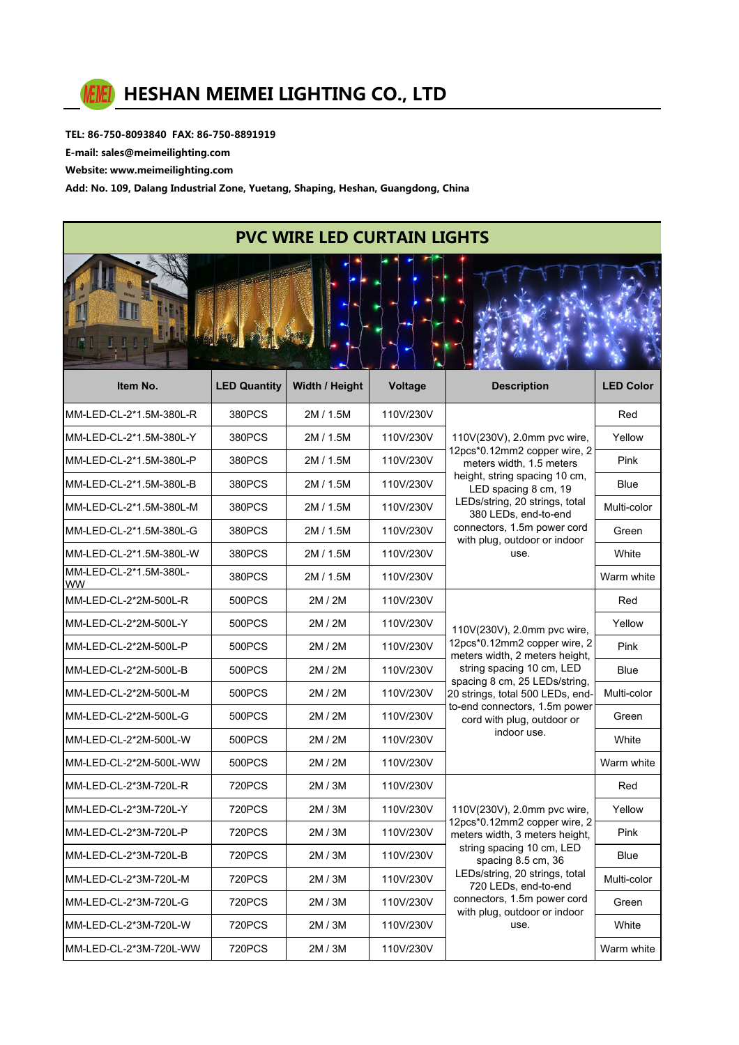

TEL: 86-750-8093840 FAX: 86-750-8891919

E-mail: sales@meimeilighting.com

Website: www.meimeilighting.com

Add: No. 109, Dalang Industrial Zone, Yuetang, Shaping, Heshan, Guangdong, China

| <b>PVC WIRE LED CURTAIN LIGHTS</b>  |               |           |           |                                                                                                                                                                                                                                                                                   |             |  |  |  |
|-------------------------------------|---------------|-----------|-----------|-----------------------------------------------------------------------------------------------------------------------------------------------------------------------------------------------------------------------------------------------------------------------------------|-------------|--|--|--|
|                                     |               |           |           |                                                                                                                                                                                                                                                                                   |             |  |  |  |
| MM-LED-CL-2*1.5M-380L-R             | 380PCS        | 2M / 1.5M | 110V/230V | 110V(230V), 2.0mm pvc wire,<br>12pcs*0.12mm2 copper wire, 2<br>meters width, 1.5 meters<br>height, string spacing 10 cm,<br>LED spacing 8 cm, 19<br>LEDs/string, 20 strings, total<br>380 LEDs, end-to-end<br>connectors, 1.5m power cord<br>with plug, outdoor or indoor<br>use. | Red         |  |  |  |
| MM-LED-CL-2*1.5M-380L-Y             | 380PCS        | 2M/1.5M   | 110V/230V |                                                                                                                                                                                                                                                                                   | Yellow      |  |  |  |
| MM-LED-CL-2*1.5M-380L-P             | 380PCS        | 2M / 1.5M | 110V/230V |                                                                                                                                                                                                                                                                                   | Pink        |  |  |  |
| MM-LED-CL-2*1.5M-380L-B             | 380PCS        | 2M / 1.5M | 110V/230V |                                                                                                                                                                                                                                                                                   | <b>Blue</b> |  |  |  |
| MM-LED-CL-2*1.5M-380L-M             | 380PCS        | 2M / 1.5M | 110V/230V |                                                                                                                                                                                                                                                                                   | Multi-color |  |  |  |
| MM-LED-CL-2*1.5M-380L-G             | 380PCS        | 2M / 1.5M | 110V/230V |                                                                                                                                                                                                                                                                                   | Green       |  |  |  |
| MM-LED-CL-2*1.5M-380L-W             | 380PCS        | 2M / 1.5M | 110V/230V |                                                                                                                                                                                                                                                                                   | White       |  |  |  |
| MM-LED-CL-2*1.5M-380L-<br><b>WW</b> | 380PCS        | 2M / 1.5M | 110V/230V |                                                                                                                                                                                                                                                                                   | Warm white  |  |  |  |
| MM-LED-CL-2*2M-500L-R               | 500PCS        | 2M / 2M   | 110V/230V | 110V(230V), 2.0mm pvc wire,<br>12pcs*0.12mm2 copper wire, 2<br>meters width, 2 meters height,<br>string spacing 10 cm, LED<br>spacing 8 cm, 25 LEDs/string,<br>20 strings, total 500 LEDs, end-<br>to-end connectors, 1.5m power<br>cord with plug, outdoor or<br>indoor use.     | Red         |  |  |  |
| MM-LED-CL-2*2M-500L-Y               | 500PCS        | 2M / 2M   | 110V/230V |                                                                                                                                                                                                                                                                                   | Yellow      |  |  |  |
| MM-LED-CL-2*2M-500L-P               | 500PCS        | 2M / 2M   | 110V/230V |                                                                                                                                                                                                                                                                                   | Pink        |  |  |  |
| MM-LED-CL-2*2M-500L-B               | 500PCS        | 2M / 2M   | 110V/230V |                                                                                                                                                                                                                                                                                   | <b>Blue</b> |  |  |  |
| MM-LED-CL-2*2M-500L-M               | 500PCS        | 2M / 2M   | 110V/230V |                                                                                                                                                                                                                                                                                   | Multi-color |  |  |  |
| MM-LED-CL-2*2M-500L-G               | 500PCS        | 2M / 2M   | 110V/230V |                                                                                                                                                                                                                                                                                   | Green       |  |  |  |
| MM-LED-CL-2*2M-500L-W               | 500PCS        | 2M / 2M   | 110V/230V |                                                                                                                                                                                                                                                                                   | White       |  |  |  |
| MM-LED-CL-2*2M-500L-WW              | 500PCS        | 2M / 2M   | 110V/230V |                                                                                                                                                                                                                                                                                   | Warm white  |  |  |  |
| MM-LED-CL-2*3M-720L-R               | <b>720PCS</b> | 2M / 3M   | 110V/230V |                                                                                                                                                                                                                                                                                   | Red         |  |  |  |
| MM-LED-CL-2*3M-720L-Y               | <b>720PCS</b> | 2M / 3M   | 110V/230V | 110V(230V), 2.0mm pvc wire,<br>12pcs*0.12mm2 copper wire, 2<br>meters width, 3 meters height,<br>string spacing 10 cm, LED<br>spacing 8.5 cm, 36<br>LEDs/string, 20 strings, total<br>720 LEDs, end-to-end<br>connectors, 1.5m power cord<br>with plug, outdoor or indoor<br>use. | Yellow      |  |  |  |
| MM-LED-CL-2*3M-720L-P               | <b>720PCS</b> | 2M/3M     | 110V/230V |                                                                                                                                                                                                                                                                                   | Pink        |  |  |  |
| MM-LED-CL-2*3M-720L-B               | <b>720PCS</b> | 2M/3M     | 110V/230V |                                                                                                                                                                                                                                                                                   | Blue        |  |  |  |
| MM-LED-CL-2*3M-720L-M               | <b>720PCS</b> | 2M / 3M   | 110V/230V |                                                                                                                                                                                                                                                                                   | Multi-color |  |  |  |
| MM-LED-CL-2*3M-720L-G               | <b>720PCS</b> | 2M/3M     | 110V/230V |                                                                                                                                                                                                                                                                                   | Green       |  |  |  |
| MM-LED-CL-2*3M-720L-W               | <b>720PCS</b> | 2M / 3M   | 110V/230V |                                                                                                                                                                                                                                                                                   | White       |  |  |  |

MM-LED-CL-2\*3M-720L-WW 720PCS 2M / 3M 110V/230V WARE WARE